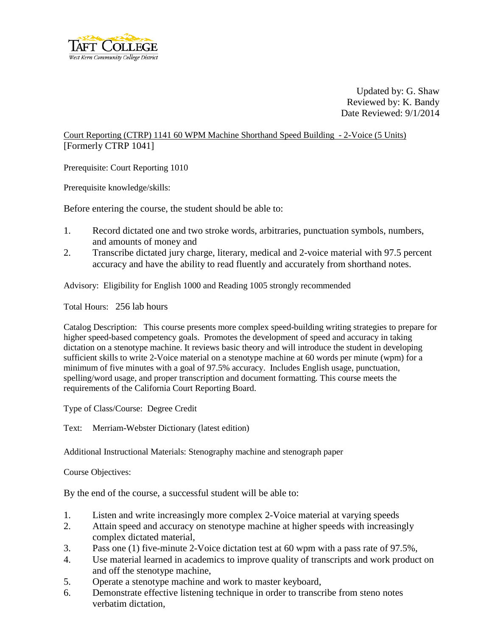

Updated by: G. Shaw Reviewed by: K. Bandy Date Reviewed: 9/1/2014

Court Reporting (CTRP) 1141 60 WPM Machine Shorthand Speed Building - 2-Voice (5 Units) [Formerly CTRP 1041]

Prerequisite: Court Reporting 1010

Prerequisite knowledge/skills:

Before entering the course, the student should be able to:

- 1. Record dictated one and two stroke words, arbitraries, punctuation symbols, numbers, and amounts of money and
- 2. Transcribe dictated jury charge, literary, medical and 2-voice material with 97.5 percent accuracy and have the ability to read fluently and accurately from shorthand notes.

Advisory: Eligibility for English 1000 and Reading 1005 strongly recommended

Total Hours: 256 lab hours

Catalog Description: This course presents more complex speed-building writing strategies to prepare for higher speed-based competency goals. Promotes the development of speed and accuracy in taking dictation on a stenotype machine. It reviews basic theory and will introduce the student in developing sufficient skills to write 2-Voice material on a stenotype machine at 60 words per minute (wpm) for a minimum of five minutes with a goal of 97.5% accuracy. Includes English usage, punctuation, spelling/word usage, and proper transcription and document formatting. This course meets the requirements of the California Court Reporting Board.

Type of Class/Course: Degree Credit

Text: Merriam-Webster Dictionary (latest edition)

Additional Instructional Materials: Stenography machine and stenograph paper

Course Objectives:

By the end of the course, a successful student will be able to:

- 1. Listen and write increasingly more complex 2-Voice material at varying speeds
- 2. Attain speed and accuracy on stenotype machine at higher speeds with increasingly complex dictated material,
- 3. Pass one (1) five-minute 2-Voice dictation test at 60 wpm with a pass rate of 97.5%,
- 4. Use material learned in academics to improve quality of transcripts and work product on and off the stenotype machine,
- 5. Operate a stenotype machine and work to master keyboard,
- 6. Demonstrate effective listening technique in order to transcribe from steno notes verbatim dictation,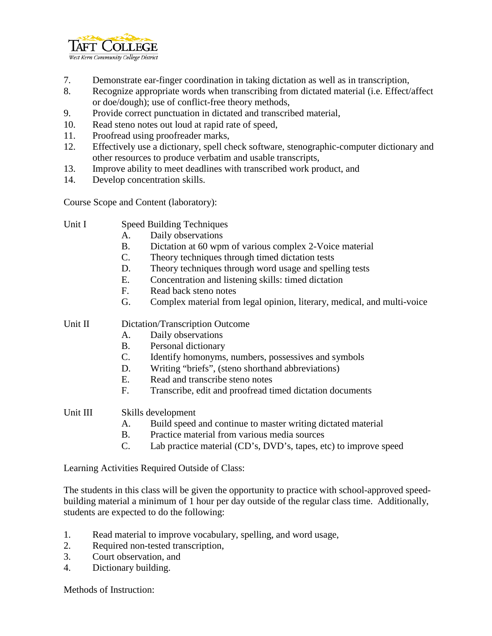

- 7. Demonstrate ear-finger coordination in taking dictation as well as in transcription,
- 8. Recognize appropriate words when transcribing from dictated material (i.e. Effect/affect or doe/dough); use of conflict-free theory methods,
- 9. Provide correct punctuation in dictated and transcribed material,
- 10. Read steno notes out loud at rapid rate of speed,
- 11. Proofread using proofreader marks,
- 12. Effectively use a dictionary, spell check software, stenographic-computer dictionary and other resources to produce verbatim and usable transcripts,
- 13. Improve ability to meet deadlines with transcribed work product, and
- 14. Develop concentration skills.

Course Scope and Content (laboratory):

- Unit I Speed Building Techniques
	- A. Daily observations
	- B. Dictation at 60 wpm of various complex 2-Voice material
	- C. Theory techniques through timed dictation tests
	- D. Theory techniques through word usage and spelling tests
	- E. Concentration and listening skills: timed dictation
	- F. Read back steno notes
	- G. Complex material from legal opinion, literary, medical, and multi-voice

Unit II Dictation/Transcription Outcome

- A. Daily observations
- B. Personal dictionary
- C. Identify homonyms, numbers, possessives and symbols
- D. Writing "briefs", (steno shorthand abbreviations)
- E. Read and transcribe steno notes
- F. Transcribe, edit and proofread timed dictation documents

Unit III Skills development

- A. Build speed and continue to master writing dictated material
- B. Practice material from various media sources
- C. Lab practice material (CD's, DVD's, tapes, etc) to improve speed

Learning Activities Required Outside of Class:

The students in this class will be given the opportunity to practice with school-approved speedbuilding material a minimum of 1 hour per day outside of the regular class time. Additionally, students are expected to do the following:

- 1. Read material to improve vocabulary, spelling, and word usage,
- 2. Required non-tested transcription,
- 3. Court observation, and
- 4. Dictionary building.

Methods of Instruction: